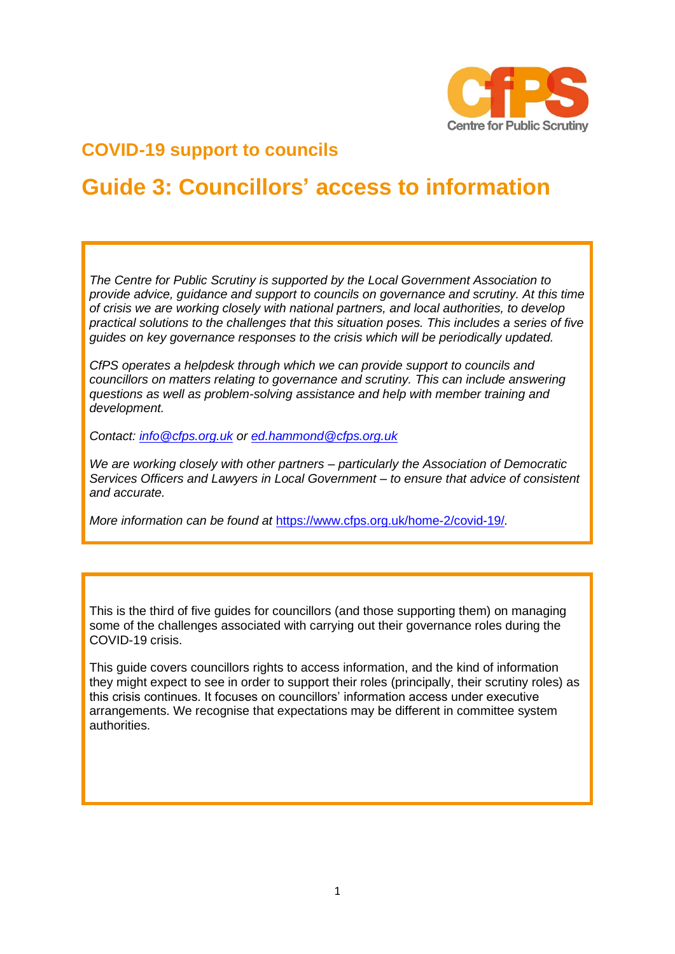

## **COVID-19 support to councils**

# **Guide 3: Councillors' access to information**

*The Centre for Public Scrutiny is supported by the Local Government Association to provide advice, guidance and support to councils on governance and scrutiny. At this time of crisis we are working closely with national partners, and local authorities, to develop practical solutions to the challenges that this situation poses. This includes a series of five guides on key governance responses to the crisis which will be periodically updated.*

*CfPS operates a helpdesk through which we can provide support to councils and councillors on matters relating to governance and scrutiny. This can include answering questions as well as problem-solving assistance and help with member training and development.* 

*Contact: [info@cfps.org.uk](mailto:info@cfps.org.uk) or [ed.hammond@cfps.org.uk](mailto:ed.hammond@cfps.org.uk)*

*We are working closely with other partners – particularly the Association of Democratic Services Officers and Lawyers in Local Government – to ensure that advice of consistent and accurate.* 

*More information can be found at* <https://www.cfps.org.uk/home-2/covid-19/>*.* 

This is the third of five guides for councillors (and those supporting them) on managing some of the challenges associated with carrying out their governance roles during the COVID-19 crisis.

This guide covers councillors rights to access information, and the kind of information they might expect to see in order to support their roles (principally, their scrutiny roles) as this crisis continues. It focuses on councillors' information access under executive arrangements. We recognise that expectations may be different in committee system authorities.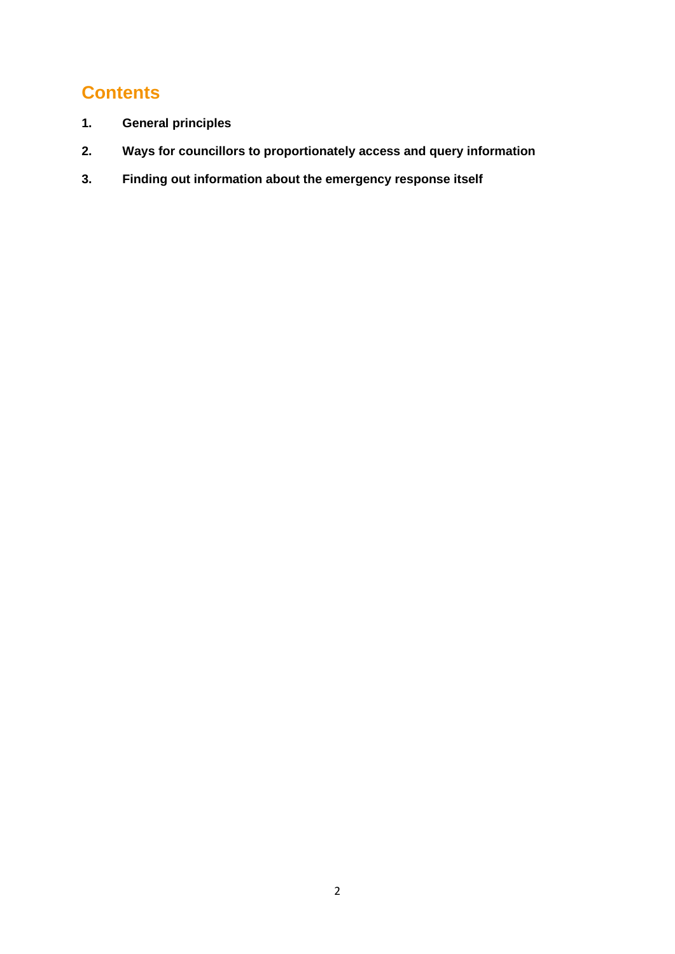## **Contents**

- **1. General principles**
- **2. Ways for councillors to proportionately access and query information**
- **3. Finding out information about the emergency response itself**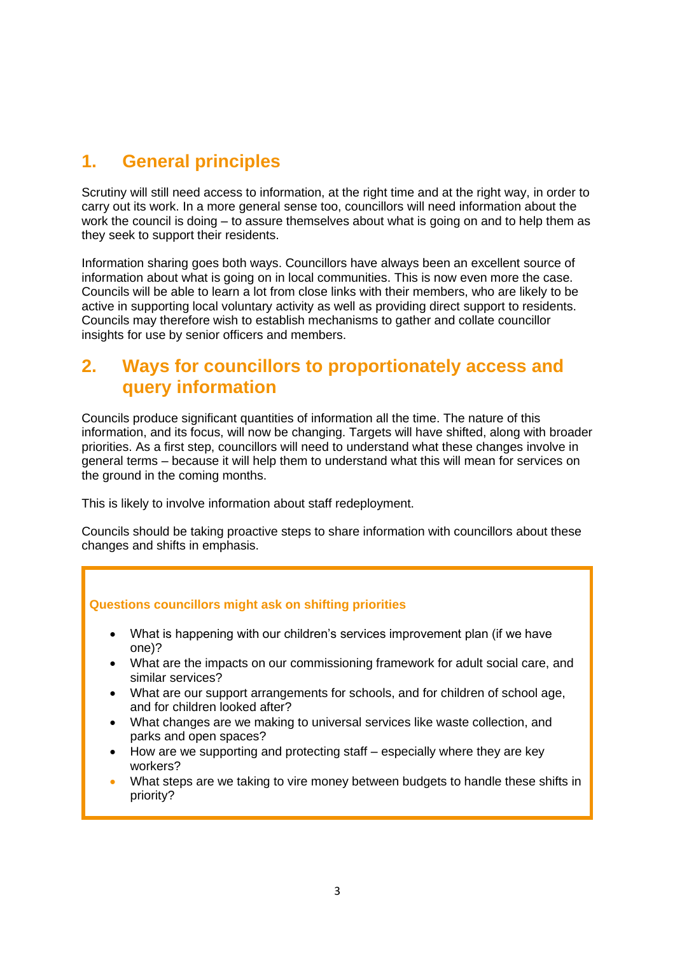## **1. General principles**

Scrutiny will still need access to information, at the right time and at the right way, in order to carry out its work. In a more general sense too, councillors will need information about the work the council is doing – to assure themselves about what is going on and to help them as they seek to support their residents.

Information sharing goes both ways. Councillors have always been an excellent source of information about what is going on in local communities. This is now even more the case. Councils will be able to learn a lot from close links with their members, who are likely to be active in supporting local voluntary activity as well as providing direct support to residents. Councils may therefore wish to establish mechanisms to gather and collate councillor insights for use by senior officers and members.

#### **2. Ways for councillors to proportionately access and query information**

Councils produce significant quantities of information all the time. The nature of this information, and its focus, will now be changing. Targets will have shifted, along with broader priorities. As a first step, councillors will need to understand what these changes involve in general terms – because it will help them to understand what this will mean for services on the ground in the coming months.

This is likely to involve information about staff redeployment.

Councils should be taking proactive steps to share information with councillors about these changes and shifts in emphasis.

#### **Questions councillors might ask on shifting priorities**

- What is happening with our children's services improvement plan (if we have one)?
- What are the impacts on our commissioning framework for adult social care, and similar services?
- What are our support arrangements for schools, and for children of school age, and for children looked after?
- What changes are we making to universal services like waste collection, and parks and open spaces?
- How are we supporting and protecting staff especially where they are key workers?
- What steps are we taking to vire money between budgets to handle these shifts in priority?